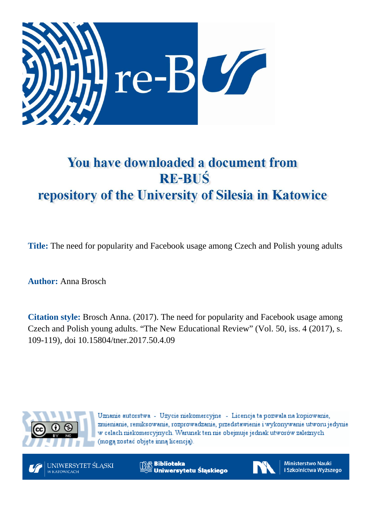

# You have downloaded a document from **RE-BUŚ** repository of the University of Silesia in Katowice

**Title:** The need for popularity and Facebook usage among Czech and Polish young adults

**Author:** Anna Brosch

**Citation style:** Brosch Anna. (2017). The need for popularity and Facebook usage among Czech and Polish young adults. "The New Educational Review" (Vol. 50, iss. 4 (2017), s. 109-119), doi 10.15804/tner.2017.50.4.09



Uznanie autorstwa - Użycie niekomercyjne - Licencja ta pozwala na kopiowanie, zmienianie, remiksowanie, rozprowadzanie, przedstawienie i wykonywanie utworu jedynie w celach niekomercyjnych. Warunek ten nie obejmuje jednak utworów zależnych (mogą zostać objęte inną licencją).



**Biblioteka** Uniwersytetu Śląskiego



**Ministerstwo Nauki** i Szkolnictwa Wyższego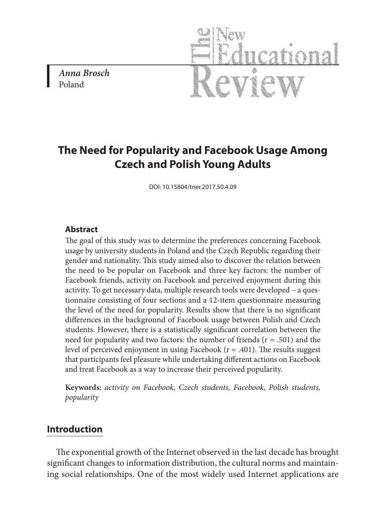*Anna Brosch* Poland



# **The Need for Popularity and Facebook Usage Among Czech and Polish Young Adults**

DOI: 10.15804/tner.2017.50.4.09

#### **Abstract**

The goal of this study was to determine the preferences concerning Facebook usage by university students in Poland and the Czech Republic regarding their gender and nationality. This study aimed also to discover the relation between the need to be popular on Facebook and three key factors: the number of Facebook friends, activity on Facebook and perceived enjoyment during this activity. To get necessary data, multiple research tools were developed – a questionnaire consisting of four sections and a 12-item questionnaire measuring the level of the need for popularity. Results show that there is no significant differences in the background of Facebook usage between Polish and Czech students. However, there is a statistically significant correlation between the need for popularity and two factors: the number of friends  $(r = .501)$  and the level of perceived enjoyment in using Facebook  $(r = .401)$ . The results suggest that participants feel pleasure while undertaking different actions on Facebook and treat Facebook as a way to increase their perceived popularity.

**Keywords:** *activity on Facebook, Czech students, Facebook, Polish students, popularity* 

#### **Introduction**

The exponential growth of the Internet observed in the last decade has brought significant changes to information distribution, the cultural norms and maintaining social relationships. One of the most widely used Internet applications are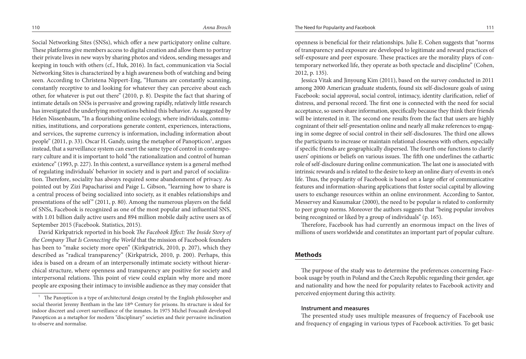Social Networking Sites (SNSs), which offer a new participatory online culture. These platforms give members access to digital creation and allow them to portray their private lives in new ways by sharing photos and videos, sending messages and keeping in touch with others (cf., Huk, 2016). In fact, communication via Social Networking Sites is characterized by a high awareness both of watching and being seen. According to Christena Nippert-Eng, "Humans are constantly scanning, constantly receptive to and looking for whatever they can perceive about each other, for whatever is put out there" (2010, p. 8). Despite the fact that sharing of intimate details on SNSs is pervasive and growing rapidly, relatively little research has investigated the underlying motivations behind this behavior. As suggested by Helen Nissenbaum, "In a flourishing online ecology, where individuals, communities, institutions, and corporations generate content, experiences, interactions, and services, the supreme currency is information, including information about people" (2011, p. 33). Oscar H. Gandy, using the metaphor of Panopticon<sup>1</sup>, argues instead, that a surveillance system can exert the same type of control in contemporary culture and it is important to hold "the rationalization and control of human existence" (1993, p. 227). In this context, a surveillance system is a general method of regulating individuals' behavior in society and is part and parcel of socialization. Therefore, sociality has always required some abandonment of privacy. As pointed out by Zizi Papacharissi and Paige L. Gibson, "learning how to share is a central process of being socialized into society, as it enables relationships and presentations of the self"  $(2011, p. 80)$ . Among the numerous players on the field of SNSs, Facebook is recognized as one of the most popular and influential SNS, with 1.01 billion daily active users and 894 million mobile daily active users as of September 2015 (Facebook. Statistics, 2015).

David Kirkpatrick reported in his book *The Facebook Effect: The Inside Story of the Company That Is Connecting the World* that the mission of Facebook founders has been to "make society more open" (Kirkpatrick, 2010, p. 207), which they described as "radical transparency" (Kirkpatrick, 2010, p. 200). Perhaps, this idea is based on a dream of an interpersonally intimate society without hierarchical structure, where openness and transparency are positive for society and interpersonal relations. This point of view could explain why more and more people are exposing their intimacy to invisible audience as they may consider that

openness is beneficial for their relationships. Julie E. Cohen suggests that "norms of transparency and exposure are developed to legitimate and reward practices of self-exposure and peer exposure. These practices are the morality plays of contemporary networked life, they operate as both spectacle and discipline" (Cohen, 2012, p. 135).

Jessica Vitak and Jinyoung Kim (2011), based on the survey conducted in 2011 among 2000 American graduate students, found six self-disclosure goals of using Facebook: social approval, social control, intimacy, identity clarification, relief of distress, and personal record. The first one is connected with the need for social acceptance, so users share information, specifically because they think their friends will be interested in it. The second one results from the fact that users are highly cognizant of their self-presentation online and nearly all make references to engaging in some degree of social control in their self-disclosures. The third one allows the participants to increase or maintain relational closeness with others, especially if specific friends are geographically dispersed. The fourth one functions to clarify users' opinions or beliefs on various issues. The fifth one underlines the cathartic role of self-disclosure during online communication. The last one is associated with intrinsic rewards and is related to the desire to keep an online diary of events in one's life. Thus, the popularity of Facebook is based on a large offer of communicative features and information-sharing applications that foster social capital by allowing users to exchange resources within an online environment. According to Santor, Messervey and Kusumakar (2000), the need to be popular is related to conformity to peer group norms. Moreover the authors suggests that "being popular involves being recognized or liked by a group of individuals" (p. 165).

Therefore, Facebook has had currently an enormous impact on the lives of millions of users worldwide and constitutes an important part of popular culture.

## **Methods**

The purpose of the study was to determine the preferences concerning Facebook usage by youth in Poland and the Czech Republic regarding their gender, age and nationality and how the need for popularity relates to Facebook activity and perceived enjoyment during this activity.

#### **Instrument and measures**

The presented study uses multiple measures of frequency of Facebook use and frequency of engaging in various types of Facebook activities. To get basic

<sup>1</sup> The Panopticon is a type of architectural design created by the English philosopher and social theorist Jeremy Bentham in the late 18th Century for prisons. Its structure is ideal for indoor discreet and covert surveillance of the inmates. In 1975 Michel Foucault developed Panopticon as a metaphor for modern "disciplinary" societies and their pervasive inclination to observe and normalise.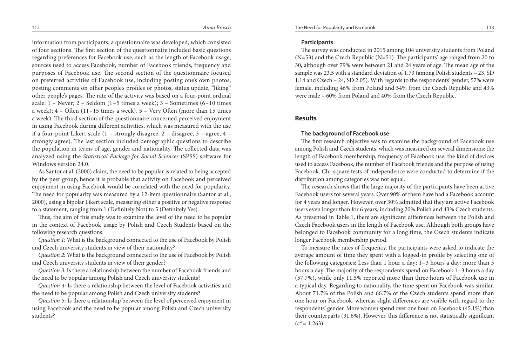information from participants, a questionnaire was developed, which consisted of four sections. The first section of the questionnaire included basic questions regarding preferences for Facebook use, such as the length of Facebook usage, sources used to access Facebook, number of Facebook friends, frequency and purposes of Facebook use. The second section of the questionnaire focused on preferred activities of Facebook use, including posting one's own photos, posting comments on other people's profiles or photos, status update, "liking" other people's pages. The rate of the activity was based on a four-point ordinal scale: 1 – Never; 2 – Seldom (1–5 times a week); 3 – Sometimes (6–10 times a week); 4 – Often (11–15 times a week), 5 – Very Often (more than 15 times a week). The third section of the questionnaire concerned perceived enjoyment in using Facebook during different activities, which was measured with the use if a four-point Likert scale (1 – strongly disagree, 2 – disagree, 3 – agree, 4 – strongly agree). The last section included demographic questions to describe the population in terms of age, gender and nationality. The collected data was analyzed using the *Statistical Package for Social Sciences* (SPSS) software for Windows version 24.0.

As Santor at al. (2000) claim, the need to be popular is related to being accepted by the peer group, hence it is probable that activity on Facebook and perceived enjoyment in using Facebook would be correlated with the need for popularity. The need for popularity was measured by a 12-item questionnaire (Santor at al., 2000), using a bipolar Likert scale, measuring either a positive or negative response to a statement, ranging from 1 (Definitely Not) to 5 (Definitely Yes).

Thus, the aim of this study was to examine the level of the need to be popular in the context of Facebook usage by Polish and Czech Students based on the following research questions:

*Question 1:* What is the background connected to the use of Facebook by Polish and Czech university students in view of their nationality?

*Question 2:* What is the background connected to the use of Facebook by Polish and Czech university students in view of their gender?

*Question 3:* Is there a relationship between the number of Facebook friends and the need to be popular among Polish and Czech university students?

*Question 4:* Is there a relationship between the level of Facebook activities and the need to be popular among Polish and Czech university students?

*Question 5*: Is there a relationship between the level of perceived enjoyment in using Facebook and the need to be popular among Polish and Czech university students?

#### **Participants**

The survey was conducted in 2015 among 104 university students from Poland (N=53) and the Czech Republic (N=51). The participants' age ranged from 20 to 30, although over 79% were between 21 and 24 years of age. The mean age of the sample was 23.5 with a standard deviation of 1.73 (among Polish students – 23, SD 1.14 and Czech – 24, SD 2.05). With regards to the respondents' gender, 57% were female, including 46% from Poland and 54% from the Czech Republic and 43% were male – 60% from Poland and 40% from the Czech Republic.

#### **Results**

#### **The background of Facebook use**

The first research objective was to examine the background of Facebook use among Polish and Czech students, which was measured on several dimensions: the length of Facebook membership, frequency of Facebook use, the kind of devices used to access Facebook, the number of Facebook friends and the purpose of using Facebook. Chi-square tests of independence were conducted to determine if the distribution among categories was not equal.

The research shows that the large majority of the participants have been active Facebook users for several years. Over 90% of them have had a Facebook account for 4 years and longer. However, over 30% admitted that they are active Facebook users even longer than for 6 years, including 20% Polish and 43% Czech students. As presented in Table 1, there are significant differences between the Polish and Czech Facebook users in the length of Facebook use. Although both groups have belonged to Facebook community for a long time, the Czech students indicate longer Facebook membership period.

To measure the rates of frequency, the participants were asked to indicate the average amount of time they spent with a logged-in profile by selecting one of the following categories: Less than 1 hour a day; 1–3 hours a day; more than 3 hours a day. The majority of the respondents spend on Facebook 1–3 hours a day (57.7%), while only 11.5% reported more than three hours of Facebook use in a typical day. Regarding to nationality, the time spent on Facebook was similar. About 71.7% of the Polish and 66.7% of the Czech students spend more than one hour on Facebook, whereas slight differences are visible with regard to the respondents' gender. More women spend over one hour on Facebook (45.1%) than their counterparts (31.6%). However, this difference is not statistically significant  $(c^2 = 1.263)$ .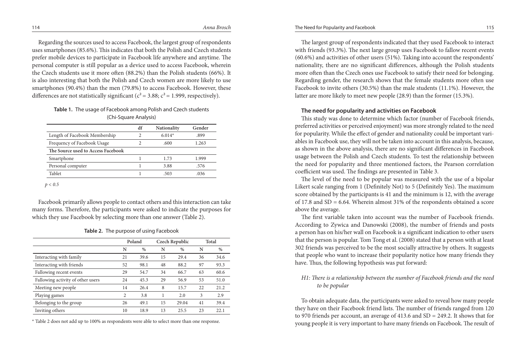Regarding the sources used to access Facebook, the largest group of respondents uses smartphones (85.6%). This indicates that both the Polish and Czech students prefer mobile devices to participate in Facebook life anywhere and anytime. The personal computer is still popular as a device used to access Facebook, wherein the Czech students use it more often (88.2%) than the Polish students (66%). It is also interesting that both the Polish and Czech women are more likely to use smartphones (90.4%) than the men (79.8%) to access Facebook. However, these differences are not statistically significant ( $c^2$  = 3.88;  $c^2$  = 1.999, respectively).

# **Table 1.** The usage of Facebook among Polish and Czech students (Chi-Square Analysis)

|                                    | df | <b>Nationality</b> | Gender |
|------------------------------------|----|--------------------|--------|
| Length of Facebook Membership      | C  | $6.014*$           | .899   |
| Frequency of Facebook Usage        | ി  | .600               | 1.263  |
| The Source used to Access Facebook |    |                    |        |
| Smartphone                         |    | 1.73               | 1.999  |
| Personal computer                  |    | 3.88               | .576   |
| Tablet                             |    | .503               | .036   |
|                                    |    |                    |        |

*p < 0.5*

Facebook primarily allows people to contact others and this interaction can take many forms. Therefore, the participants were asked to indicate the purposes for which they use Facebook by selecting more than one answer (Table 2).

|  |  | Table 2. The purpose of using Facebook |  |
|--|--|----------------------------------------|--|
|--|--|----------------------------------------|--|

|                |      |        |               | Total          |       |
|----------------|------|--------|---------------|----------------|-------|
| N              | $\%$ | N      | $\frac{0}{0}$ | N              | %     |
| 21             | 39.6 | 15     | 29.4          | 36             | 34.6  |
| 52             | 98.1 | 48     | 88.2          | 97             | 93.3  |
| 29             | 54.7 | 34     | 66.7          | 63             | 60.6  |
| 24             | 45.3 | 29     | 56.9          | 53             | 51.0  |
| 14             | 26.4 | 8      | 15.7          | 22             | 21.2  |
| $\overline{c}$ | 3.8  |        | 2.0           | 3              | 2.9   |
| 26             | 49.1 | 15     | 29.04         | 41             | 39.4  |
| 10             | 18.9 | 13     | 25.5          | 23             | 2.2.1 |
|                |      | Poland |               | Czech Republic |       |

\* Table 2 does not add up to 100% as respondents were able to select more than one response.

The largest group of respondents indicated that they used Facebook to interact with friends (93.3%). The next large group uses Facebook to fallow recent events (60.6%) and activities of other users (51%). Taking into account the respondents' nationality, there are no significant differences, although the Polish students more often than the Czech ones use Facebook to satisfy their need for belonging. Regarding gender, the research shows that the female students more often use Facebook to invite others  $(30.5%)$  than the male students  $(11.1%)$ . However, the latter are more likely to meet new people (28.9) than the former (15.3%).

## **The need for popularity and activities on Facebook**

This study was done to determine which factor (number of Facebook friends, preferred activities or perceived enjoyment) was more strongly related to the need for popularity. While the effect of gender and nationality could be important variables in Facebook use, they will not be taken into account in this analysis, because, as shown in the above analysis, there are no significant differences in Facebook usage between the Polish and Czech students. To test the relationship between the need for popularity and three mentioned factors, the Pearson correlation coefficient was used. The findings are presented in Table 3.

The level of the need to be popular was measured with the use of a bipolar Likert scale ranging from 1 (Definitely Not) to 5 (Definitely Yes). The maximum score obtained by the participants is 41 and the minimum is 12, with the average of 17.8 and  $SD = 6.64$ . Wherein almost 31% of the respondents obtained a score above the average.

The first variable taken into account was the number of Facebook friends. According to Zywica and Danowski (2008), the number of friends and posts a person has on his/her wall on Facebook is a significant indication to other users that the person is popular. Tom Tong et al. (2008) stated that a person with at least 302 friends was perceived to be the most socially attractive by others. It suggests that people who want to increase their popularity notice how many friends they have. Thus, the following hypothesis was put forward:

# *H1: There is a relationship between the number of Facebook friends and the need to be popular*

To obtain adequate data, the participants were asked to reveal how many people they have on their Facebook friend lists. The number of friends ranged from 120 to 970 friends per account, an average of 413.6 and SD = 249.2. It shows that for young people it is very important to have many friends on Facebook. The result of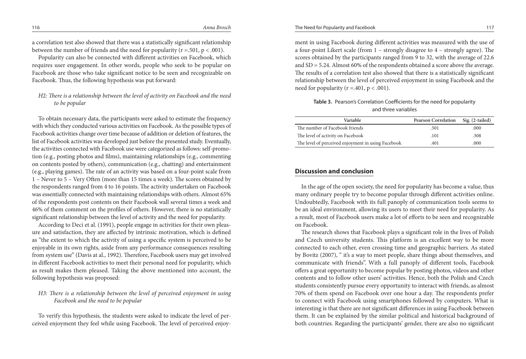a correlation test also showed that there was a statistically significant relationship between the number of friends and the need for popularity ( $r = .501$ ,  $p < .001$ ).

Popularity can also be connected with different activities on Facebook, which requires user engagement. In other words, people who seek to be popular on Facebook are those who take significant notice to be seen and recognizable on Facebook. Thus, the following hypothesis was put forward:

# *H*2*: There is a relationship between the level of activity on Facebook and the need to be popular*

To obtain necessary data, the participants were asked to estimate the frequency with which they conducted various activities on Facebook. As the possible types of Facebook activities change over time because of addition or deletion of features, the list of Facebook activities was developed just before the presented study. Eventually, the activities connected with Facebook use were categorized as follows: self-promotion (e.g., posting photos and films), maintaining relationships (e.g., commenting on contents posted by others), communication (e.g., chatting) and entertainment (e.g., playing games). The rate of an activity was based on a four-point scale from 1 – Never to 5 – Very Often (more than 15 times a week). The scores obtained by the respondents ranged from 4 to 16 points. The activity undertaken on Facebook was essentially connected with maintaining relationships with others. Almost 65% of the respondents post contents on their Facebook wall several times a week and 46% of them comment on the profiles of others. However, there is no statistically significant relationship between the level of activity and the need for popularity.

According to Deci et al. (1991), people engage in activities for their own pleasure and satisfaction, they are affected by intrinsic motivation, which is defined as "the extent to which the activity of using a specific system is perceived to be enjoyable in its own rights, aside from any performance consequences resulting from system use" (Davis at al., 1992). Therefore, Facebook users may get involved in different Facebook activities to meet their personal need for popularity, which as result makes them pleased. Taking the above mentioned into account, the following hypothesis was proposed:

# *H3: There is a relationship between the level of perceived enjoyment in using Facebook and the need to be popular*

To verify this hypothesis, the students were asked to indicate the level of perceived enjoyment they feel while using Facebook. The level of perceived enjoyment in using Facebook during different activities was measured with the use of a four-point Likert scale (from 1 – strongly disagree to 4 – strongly agree). The scores obtained by the participants ranged from 9 to 32, with the average of 22.6 and SD = 5.24. Almost 60% of the respondents obtained a score above the average. The results of a correlation test also showed that there is a statistically significant relationship between the level of perceived enjoyment in using Facebook and the need for popularity ( $r = .401$ ,  $p < .001$ ).

**Table 3.** Pearson's Correlation Coefficients for the need for popularity and three variables

| <b>Variable</b>                                    | <b>Pearson Correlation</b> | $Sig. (2-tailed)$ |
|----------------------------------------------------|----------------------------|-------------------|
| The number of Facebook friends                     | .501                       | .000              |
| The level of activity on Facebook                  | .101                       | .308              |
| The level of perceived enjoyment in using Facebook | .401                       | .000.             |

# **Discussion and conclusion**

In the age of the open society, the need for popularity has become a value, thus many ordinary people try to become popular through different activities online. Undoubtedly, Facebook with its full panoply of communication tools seems to be an ideal environment, allowing its users to meet their need for popularity. As a result, most of Facebook users make a lot of efforts to be seen and recognizable on Facebook.

The research shows that Facebook plays a significant role in the lives of Polish and Czech university students. This platform is an excellent way to be more connected to each other, even crossing time and geographic barriers. As stated by Bovitz (2007), " it's a way to meet people, share things about themselves, and communicate with friends". With a full panoply of different tools, Facebook offers a great opportunity to become popular by posting photos, videos and other contents and to follow other users' activities. Hence, both the Polish and Czech students consistently pursue every opportunity to interact with friends, as almost 70% of them spend on Facebook over one hour a day. The respondents prefer to connect with Facebook using smartphones followed by computers. What is interesting is that there are not significant differences in using Facebook between them. It can be explained by the similar political and historical background of both countries. Regarding the participants' gender, there are also no significant